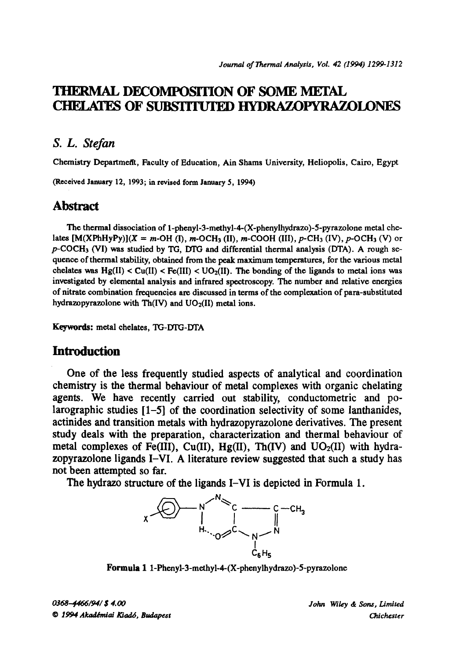# **THERMAL DECOMPOSITION OF SOME METAL** CHELATES OF SUBSITTUTED HYDRAZOPYRAZOLONES

### *S. L. Stefan*

Chemistry Department, Faculty of Education, Ain Shams University, Heliopolis, Cairo, Egypt

(Received January 12, 1993; in revised form January 5, 1994)

# **Abstract**

The thermal dissociation of 1-phenyl-3-methyl-4-(X-phenylhydrazo)-5-pyrazolone metal chelates  $[M(XPhHypy)](X = m-OH (I), m-OCH<sub>3</sub> (II), m-COOH (III), p-CH<sub>3</sub> (IV), p-OCH<sub>3</sub> (V)$  or  $p$ -COCH<sub>3</sub> (VI) was studied by TG, DTG and differential thermal analysis (DTA). A rough sequence of thermal stability, obtained from the peak maximum temperatures, for the various metal chelates was  $Hg(II) < Cl(II) < Cl(J(II))$ . The bonding of the ligands to metal ions was investigated by elemental analysis and infrared spectroscopy. The number and relative energies of nitrate combination frequencies are discussed in terms of the complexation of para-substituted hydrazopyrazolone with  $Th(IV)$  and  $UO<sub>2</sub>(II)$  metal ions.

Keywords: metal chelates, TG-DTG-DTA

### **Introduction**

**One of the less frequently studied aspects of analytical and coordination chemistry is the thermal behaviour of metal complexes with organic chelating agents. We have recently carried out stability, conductometric and polarographic studies [1-5] of the coordination selectivity of some lanthanides, actinides and transition metals with hydrazopyrazolone derivatives. The present study deals with the preparation, characterization and thermal behaviour of**  metal complexes of Fe(III), Cu(II), Hg(II), Th(IV) and UO<sub>2</sub>(II) with hydra**zopyrazolone ligands I-VI. A literature review suggested that such a study has not been attempted so far.** 

The hydrazo structure of the ligands **I-VI is depicted** in Formula **1.** 



**Formula** I l-Phenyl-3-methyl-4-(X-phenylhydrazo)-5-pyrazolone

0368-4466/94/\$4.00  $O$  1994 Akadémiai Kiadó, Budapest *John Wiley & Sons, Limited Odchcster*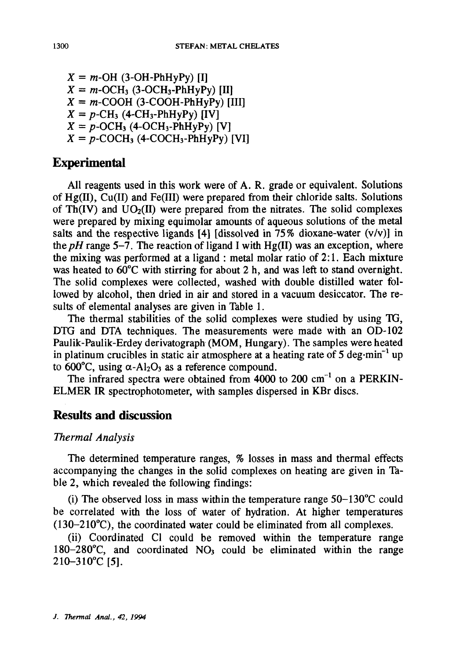$X = m$ -OH (3-OH-PhHyPy) [I]  $X = m\text{-OCH}_3$  (3-OCH<sub>3</sub>-PhHyPy) [II]  $X = m$ -COOH (3-COOH-PhHyPy) [III]  $X = p$ -CH<sub>3</sub> (4-CH<sub>3</sub>-PhHyPy)  $[IV]$  $X = p$ -OCH<sub>3</sub> (4-OCH<sub>3</sub>-PhHyPy) [V]  $X = p$ -COCH<sub>3</sub> (4-COCH<sub>3</sub>-PhHyPy) [VI]

# **Experimental**

All reagents used in this work were of A. R. grade or equivalent. Solutions of Hg(II), Cu(II) and Fe(III) were prepared from their chloride salts. Solutions of  $Th(IV)$  and  $UO<sub>2</sub>(II)$  were prepared from the nitrates. The solid complexes were prepared by mixing equimolar amounts of aqueous solutions of the metal salts and the respective ligands [4] [dissolved in  $75\%$  dioxane-water (v/v)] in the  $pH$  range 5-7. The reaction of ligand I with  $Hg(II)$  was an exception, where the mixing was performed at a ligand : metal molar ratio of 2:1. Each mixture was heated to  $60^{\circ}$ C with stirring for about 2 h, and was left to stand overnight. The solid complexes were collected, washed with double distilled water followed by alcohol, then dried in air and stored in a vacuum desiccator. The results of elemental analyses are given in Table 1.

The thermal stabilities of the solid complexes were studied by using TG, DTG and DTA techniques. The measurements were made with an OD-102 Paulik-Paulik-Erdey derivatograph (MOM, Hungary). The samples were heated in platinum crucibles in static air atmosphere at a heating rate of  $5 \text{ deg-min}^{-1}$  up to 600°C, using  $\alpha$ -Al<sub>2</sub>O<sub>3</sub> as a reference compound.

The infrared spectra were obtained from  $4000$  to  $200 \text{ cm}^{-1}$  on a PERKIN-ELMER IR spectrophotometer, with samples dispersed in KBr discs.

# **Results and discussion**

#### *Thermal Analysis*

The determined temperature ranges, % losses in mass and thermal effects accompanying the changes in the solid complexes on heating are given in Table 2, which revealed the following findings:

(i) The observed loss in mass within the temperature range  $50-130^{\circ}$ C could be correlated with the loss of water of hydration. At higher temperatures  $(130-210^{\circ}C)$ , the coordinated water could be eliminated from all complexes.

(ii) Coordinated CI could be removed within the temperature range 180-280 $^{\circ}$ C, and coordinated NO<sub>3</sub> could be eliminated within the range 210-310°C [5].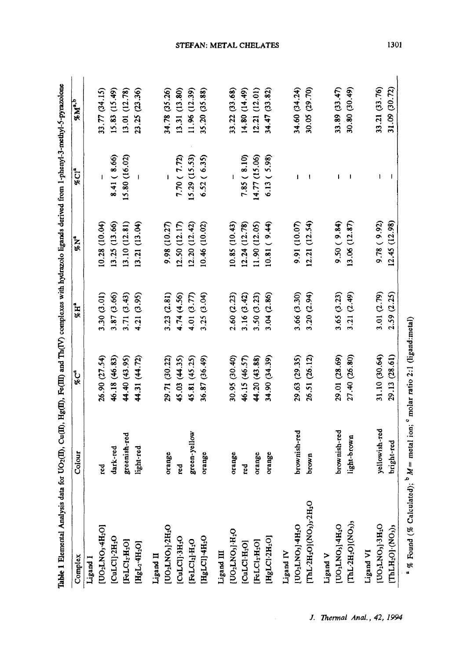| Table 1 Elemental Analysis data for UO <sub>2</sub> (II), Cu(II), Hg(II), Fe(III) and Th(IV) complexes with hydrazolo ligands derived from 1-phenyl-3-methyl-5-pyrazolone |               |               |             |               |                  |               |
|---------------------------------------------------------------------------------------------------------------------------------------------------------------------------|---------------|---------------|-------------|---------------|------------------|---------------|
| Complex                                                                                                                                                                   | Colour        | <b>AC</b>     | $^*$ H      | $^{6}N^{4}$   | %C1 <sup>a</sup> | $^{8}M^{2.5}$ |
| Ligand I                                                                                                                                                                  |               |               |             |               |                  |               |
| [UO2LNO3-4H2O]                                                                                                                                                            | g             | 26.90 (27.54) | 3.30 (3.01) | 10.28 (10.04) |                  | 33.77 (34.15) |
| [CuLCI]-2H <sub>2</sub> O                                                                                                                                                 | dark-red      | 46.18 (46.83) | 3.87 (3.66) | 13.25 (13.66) | 8.41(8.66)       | 15.83 (15.49) |
| [FeLCl <sub>2</sub> ·H <sub>2</sub> O]                                                                                                                                    | greenish-red  | 44.40 (43.95) | 3.71 (3.43) | 13.10(12.81)  | 15.80 (16.02)    | 13.01 (12.78) |
| [HgL <sub>2</sub> -4H <sub>2</sub> O]                                                                                                                                     | light-red     | 44.31 (44.72) | 4.21 (3.95) | 13.21 (13.04) |                  | 23.25 (23.36) |
| Ligand II                                                                                                                                                                 |               |               |             |               |                  |               |
| [UO <sub>2</sub> LNO <sub>3</sub> ]-2H <sub>2</sub> O                                                                                                                     | orange        | 29.71 (30.22) | 3.23(2.81)  | 9.98 (10.27)  |                  | 34.78 (35.26) |
| [CuLCI]-3H <sub>2</sub> O                                                                                                                                                 | ್ಲಿ           | 45.03 (44.35) | 4.74 (4.56) | 12.50 (12.17) | 7.70(7.72)       | 13.31 (13.80) |
| [FeLCl2]-H <sub>2</sub> O                                                                                                                                                 | green-yellow  | 45.81 (45.25) | 4.01(3.77)  | 12.20(12.42)  | 15.29(15.53)     | 11.96 (12.39) |
| [HgLCI]-4H <sub>2</sub> O                                                                                                                                                 | orange        | 36.87 (36.49) | 3.25 (3.04) | 10.46 (10.02) | 6.52(6.35)       | 35.20 (35.88) |
| Ligand III                                                                                                                                                                |               |               |             |               |                  |               |
| [UO <sub>2</sub> LNO <sub>3</sub> ]-H <sub>2</sub> O                                                                                                                      | orange        | 30.95 (30.40) | 2.60 (2.23) | 10.85 (10.43) |                  | 33.22 (33.68) |
| [CLLCLH <sub>2</sub> O]                                                                                                                                                   | ខ្ព           | 46.15 (46.57) | 3.16(3.42)  | 12.24(12.78)  | 7.85(8.10)       | 14.80 (14.49) |
| [FeLCI <sub>2</sub> ·H <sub>2</sub> O]                                                                                                                                    | orange        | 44.20 (43.88) | 3.50 (3.23) | 11.90 (12.05) | 14.77 (15.06)    | 12.21 (12.01) |
| $[{\rm Hg}{\rm LCl}\cdot2{\rm H}_{2}{\rm O}]$                                                                                                                             | orange        | 34.90 (34.39) | 3.04(2.86)  | 10.81(9.44)   | 6.13(5.98)       | 34.47 (33.82) |
| Ligand IV                                                                                                                                                                 |               |               |             |               |                  |               |
| [UO2LNO3]-4H2O                                                                                                                                                            | brownish-red  | 29.63 (29.35) | 3.66 (3.30) | 9.91 (10.07)  | I                | 34.60 (34.24) |
| [ThL-2H <sub>2</sub> O](NO <sub>3)3</sub> -2H <sub>2</sub> O                                                                                                              | brown         | 26.51 (26.12) | 3.20(2.94)  | 12.21(12.54)  | 1                | 30.05 (29.70) |
| Ligand V                                                                                                                                                                  |               |               |             |               |                  |               |
| [UO <sub>I</sub> LNO <sub>3</sub> ]-4H <sub>2</sub> O                                                                                                                     | brownish-red  | 29.01 (28.69) | 3.65(3.23)  | 9.50(9.84)    | ŧ                | 33.89(33.47)  |
| ThL-2H <sub>2</sub> O](NO <sub>3</sub> ) <sub>3</sub>                                                                                                                     | light-brown   | 27.40 (26.80) | 3.21(2.49)  | 13.06(12.87)  | 1                | 30.80 (30.49) |
| Ligand VI                                                                                                                                                                 |               |               |             |               |                  |               |
| [UOLNO3]-3H2O                                                                                                                                                             | yellowish-red | 31.10 (30.64) | 3.01 (2.79) | 9.78(9.92)    |                  | 33.21 (33.76) |
| $[THLH_2O]\cdot(NO_3)$                                                                                                                                                    | bright-red    | 29.13 (28.61) | 2.59 (2.25) | 12.45(12.98)  | I                | 31.09 (30.72) |
|                                                                                                                                                                           |               |               |             |               |                  |               |

<sup>a</sup> % Found (% Calculated);  $^{b}$   $M =$  metal ion;  $^{c}$  molar ratio 2:1 (ligand:metal)

STEFAN: METAL CHELATES

J. Thermal Anal., 42, 1994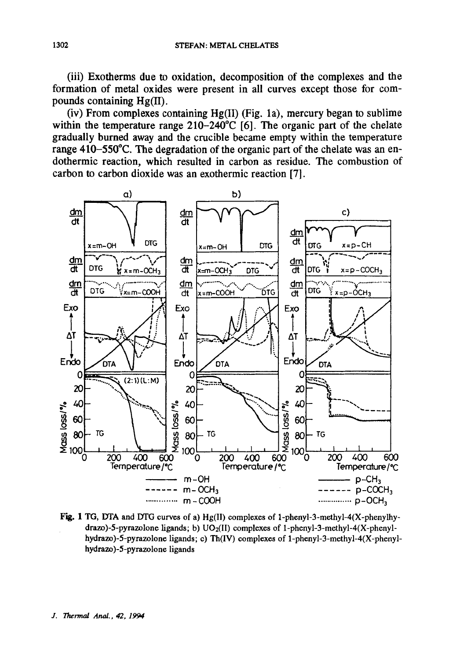(iii) Exotherms due to oxidation, decomposition of the complexes and the formation of metal oxides were present in all curves except those for compounds containing Hg(II).

(iv) From complexes containing Hg(II) (Fig. 1a), mercury began to sublime within the temperature range  $210-240^{\circ}$ C [6]. The organic part of the chelate gradually burned away and the crucible became empty within the temperature range 410–550°C. The degradation of the organic part of the chelate was an endothermic reaction, which resulted in carbon as residue. The combustion of carbon to carbon dioxide was an exothermic reaction [7].



Fig. 1 TG, DTA and DTG curves of a) Hg(II) complexes of 1-phenyl-3-methyl-4(X-phenylhydrazo)-5-pyrazolone ligands; b)  $UO_2(II)$  complexes of 1-phenyl-3-methyl-4(X-phenylhydrazo)-5-pyrazolone ligands; c) Th(IV) complexes of 1-phenyl-3-methyl-4(X-phenylhydrazo)-5-pyrazolone ligands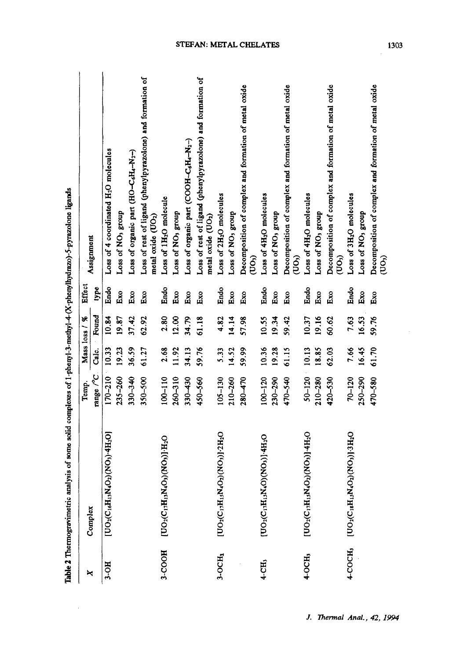|                    | Table 2 Thermogravimetric analysis of some solid complexes of 1-pheny1-3-methy1-4-(X-phenylhydrazo)-5-pyrazolone ligands          |                   |       |               |                       |                                                                                              |
|--------------------|-----------------------------------------------------------------------------------------------------------------------------------|-------------------|-------|---------------|-----------------------|----------------------------------------------------------------------------------------------|
| ×                  | Complex                                                                                                                           | Temp.             |       | Mass loss / % | Effect                | Assignment                                                                                   |
|                    |                                                                                                                                   | range /°C.        | Calc. | Found         | type                  |                                                                                              |
| $3-OH$             | $[{\rm UO}_2({\rm C}_{16}{\rm H}_{13}{\rm M}_4{\rm O}_2)({\rm NO}_3){\cdot} {\rm 4H}_2{\rm O}]$                                   | $170 - 210$ 10.33 |       | 10.84         | Endo                  | Loss of 4 coordinated H <sub>2</sub> O molecules                                             |
|                    |                                                                                                                                   | 235-260           | 19.23 | 19.87         | Exo                   | Loss of NO <sub>3</sub> group                                                                |
|                    |                                                                                                                                   | 330-340           | 36.59 | 37.42         | Ēхо                   | Loss of organic part (HO-C6H4-N <sub>2</sub> -)                                              |
|                    |                                                                                                                                   | $350 - 500$       | 61.27 | 62.92         | $\mathbf{E}^{\infty}$ | Loss of rest of ligand (phenylpyrazolone) and formation of<br>metal oxide (UO <sub>2</sub> ) |
| 3-COOH             | [UO2(C17H13N4O3)(NO3)]-H2O                                                                                                        | 100-110           | 2.68  | 2.80          | Endo                  | Loss of 1H <sub>2</sub> O molecule                                                           |
|                    |                                                                                                                                   | $260 - 310$       | 11.92 | 12.00         | Ēхо                   | Loss of NO <sub>3</sub> group                                                                |
|                    |                                                                                                                                   | $330 - 430$       | 34.13 | 34.79         | Ēхо                   | Loss of organic part (COH-C6H4-N <sub>2</sub> -)                                             |
|                    |                                                                                                                                   | 450-560           | 59.76 | 61.18         | Exo                   | Loss of rest of ligand (phenylpyrazolone) and formation of<br>metal oxide (UO <sub>2</sub> ) |
| $3-OCH3$           | [UO2(C17H15N4O2)(NO3)].2H2O                                                                                                       | $105 - 130$       | 5.33  | 4.82          | Endo                  | Loss of 2H <sub>2</sub> O molecules                                                          |
|                    |                                                                                                                                   | 210-260           | 14.52 | 14.14         | Exo                   | Loss of NO <sub>3</sub> group                                                                |
|                    |                                                                                                                                   | $280 - 470$       | 59.99 | 57.98         | Eхо                   | Decomposition of complex and formation of metal oxide<br>(UO <sub>3</sub>                    |
| 4-CH,              | [UO2(C12H13N4O)(NO3)]-4H2O                                                                                                        | $100 - 120$       | 10.36 | 10.55         | Endo                  | Loss of 4H <sub>2</sub> O molecules                                                          |
|                    |                                                                                                                                   | 230-290           | 19.28 | 19.34         | Exo                   | Loss of NO <sub>3</sub> group                                                                |
|                    |                                                                                                                                   | 470-540           | 61.15 | 59.42         | Ēхо                   | Decomposition of complex and formation of metal oxide<br>(UO,                                |
| 4-OCH <sub>3</sub> | [UO2(C1H15N4O2)(NO3)-4H2O                                                                                                         | $50-120$ 10.13    |       | 10.37         | Endo                  | Loss of 4H <sub>2</sub> O molecules                                                          |
|                    |                                                                                                                                   | 210-280           | 18.85 | 19.16         | Exo                   | Loss of NO <sub>3</sub> group                                                                |
|                    |                                                                                                                                   | $420 - 530$       | 62.03 | 60.62         | $E_{XO}$              | Decomposition of complex and formation of metal oxide<br>$($ UO $_3)$                        |
|                    | $4-COCH3$ [UO <sub>2</sub> (C <sub>18</sub> H <sub>15</sub> N <sub>4</sub> O <sub>2</sub> )(NO <sub>3</sub> )] -3H <sub>2</sub> O | $70 - 120$        | 7.66  | 7.63          | Endo                  | Loss of 3H <sub>2</sub> O molecules                                                          |
|                    |                                                                                                                                   | $250 - 290$       | 16.45 | 16.53         | Exo                   | Loss of NO <sub>3</sub> group                                                                |
|                    |                                                                                                                                   | 470-580           | 61.70 | 59.76         | Exo                   | Decomposition of complex and formation of metal oxide<br>(100)                               |

 $\sim 10^7$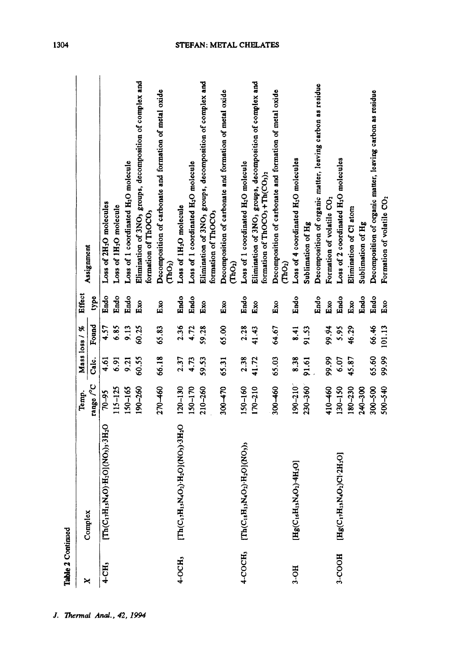| Table 2 Continued   |                                                                                                                      |             |       |               |        |                                                                                                                                            |
|---------------------|----------------------------------------------------------------------------------------------------------------------|-------------|-------|---------------|--------|--------------------------------------------------------------------------------------------------------------------------------------------|
| ×                   |                                                                                                                      | Temp.       |       | Mass loss / % | Effect |                                                                                                                                            |
|                     | Complex                                                                                                              | range /°C   | Calc. | Found         | type   | Assignment                                                                                                                                 |
| $4 - CH3$           | $[{\rm Th}({\rm C}_1, {\rm H}_1, {\rm N}_4 {\rm O}) \cdot {\rm H}_2 {\rm O}] ({\rm NO}_3)_3 \cdot {\rm H}_2 {\rm O}$ | 70-95       | 4.61  | 4.57          | Endo   | Loss of 2H <sub>2</sub> O molecules                                                                                                        |
|                     |                                                                                                                      | $115 - 125$ | 6.91  | 6.85          | Endo   | Loss of 1H <sub>2</sub> O molecule                                                                                                         |
|                     |                                                                                                                      | 150-165     | 9.21  | 9.13          | Endo   | Loss of 1 coordinated H <sub>2</sub> O molecule                                                                                            |
|                     |                                                                                                                      | 190-260     | 60.55 | 60.25         | Exo    | Elimination of 3NO <sub>3</sub> groups, decomposition of complex and<br>formation of ThOCO,                                                |
|                     |                                                                                                                      | 270-460     | 66.18 | 65.83         | Exo    | Decomposition of carbonate and formation of metal oxide<br>$(\mathbb{R}^{d})$                                                              |
| 4-OCH,              | 3H3O2)-H2OJ(NO2)-3H2O<br>$\mathbf{Th}(\mathbf{C}_1,\mathbf{H})$                                                      | $120 - 130$ | 2.37  | 2.36          | Endo   | Loss of 1H <sub>2</sub> O molecule                                                                                                         |
|                     |                                                                                                                      | 150-170     | 4.73  | 4.72          | Endo   | Loss of 1 coordinated H <sub>2</sub> O molecule                                                                                            |
|                     |                                                                                                                      | 210-260     | 59.53 | 59.28         | Exo    | Elimination of 3NO <sub>3</sub> groups, decomposition of complex and<br>formation of ThOCO,                                                |
|                     |                                                                                                                      | $300 - 470$ | 65.31 | 65.00         | Ēхо    | Decomposition of carbonate and formation of metal oxide<br>$\widehat{\mathrm{C}}$ hO2)                                                     |
| 4-COCH <sub>3</sub> | $[Th(C18H15N4O2)1H2O](NO3)$                                                                                          | 150-160     | 2.38  | 2.28          | Endo   | Loss of 1 coordinated H <sub>2</sub> O molecule                                                                                            |
|                     |                                                                                                                      | $170 - 210$ | 41.72 | 41.43         | Exo    | Elimination of 3NO <sub>3</sub> groups, decomposition of complex and<br>formation of ThOCO <sub>3</sub> +Th(CO <sub>3</sub> ) <sub>2</sub> |
|                     |                                                                                                                      | 300-460     | 65.03 | 64.67         | Ēхо    | Decomposition of carbonate and formation of metal oxide<br>(ThO <sub>2</sub> )                                                             |
| $3-OH$              | $[\mathrm{Hg}(\mathrm{C}_{16}\mathrm{H}_{13}\mathrm{N}_4\mathrm{O}_2)\cdot4\mathrm{H}_2\mathrm{O}]$                  | 190-210     | 8.38  | 8.41          | Endo   | Loss of 4 coordinated H <sub>2</sub> O molecules                                                                                           |
|                     |                                                                                                                      | 230-360     | 91.61 | 91.53         |        | Sublimation of Hg                                                                                                                          |
|                     |                                                                                                                      |             |       |               | Endo   | Decomposition of organic matter, leaving carbon as residue                                                                                 |
|                     |                                                                                                                      | 410-460     | 99.99 | 99.94         | Exo    | Formation of volatile CO <sub>2</sub>                                                                                                      |
| 3-COOH              | $[\mathrm{Hg}(\mathrm{C_1,H_{13}N_4O_2})\mathrm{Cl\text{-}2H_2O}]$                                                   | 130-150     | 6.07  | 5.95          | Endo   | Loss of 2 coordinated H <sub>2</sub> O molecules                                                                                           |
|                     |                                                                                                                      | 180-230     | 45.87 | 46.29         | Exo    | Elimination of Cl atom                                                                                                                     |
|                     |                                                                                                                      | 240-300     |       |               | Endo   | Sublimation of Hg                                                                                                                          |
|                     |                                                                                                                      | 300-500     | 65.60 | 66.46         | Endo   | Decomposition of organic matter, leaving carbon as residue                                                                                 |
|                     |                                                                                                                      | $500 - 540$ | 99.99 | 101.13        | Exo    | Formation of volatile CO <sub>2</sub>                                                                                                      |

J. Thermal Anal., 42, 1994

1304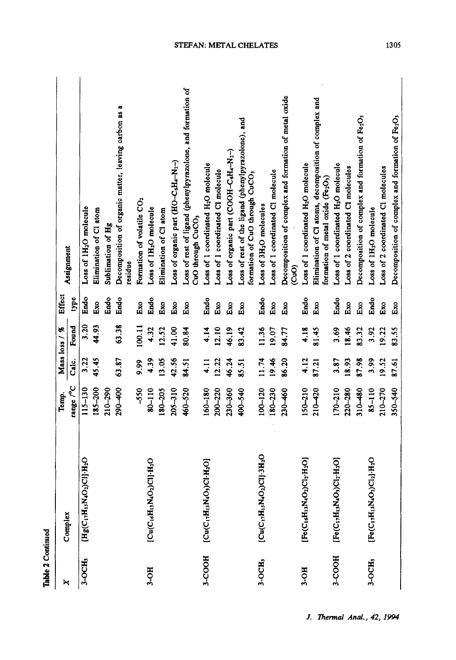| Table 2 Continued |                                                                                                          |                                  |       |               |          |                                                                                           |
|-------------------|----------------------------------------------------------------------------------------------------------|----------------------------------|-------|---------------|----------|-------------------------------------------------------------------------------------------|
| ×                 |                                                                                                          | Temp.                            |       | Mass loss / % | Effect   |                                                                                           |
|                   | Complex                                                                                                  | range $\mathcal{V}^{\mathbf{C}}$ | Calc. | Found         | type     | Assignment                                                                                |
| 3-OCH,            | $[{\rm Hg} (C_{17}{\rm H}_{15}{\rm N}_4{\rm O}_2){\rm C1}]^{\scriptscriptstyle{\wedge}}{\rm H}_2{\rm O}$ | 115-130                          | 3.22  | 3.20          | Endo     | Loss of 1H <sub>2</sub> O molecule                                                        |
|                   |                                                                                                          | $185 - 200$                      | 45.45 | 44.93         | Eхо      | Elimination of Cl atom                                                                    |
|                   |                                                                                                          | $210 - 290$                      |       |               | Endo     | Sublimation of Hg                                                                         |
|                   |                                                                                                          | 290-400                          | 63.87 | 63.38         | Endo     | œ,<br>Decomposition of organic matter, leaving carbon as<br>residue                       |
|                   |                                                                                                          | -550                             | 9.99  | 100.11        | Exo      | Formation of volatile CO <sub>2</sub>                                                     |
| 3-OH              | $[Cl_u(C_1, H_1, N_4O_2)Cl]$ . H <sub>2</sub> O                                                          | $80 - 110$                       | 4.39  | 4.32          | Endo     | Loss of 1H <sub>2</sub> O molecule                                                        |
|                   |                                                                                                          | 180-205                          | 13.05 | 12.52         | Ēхо      | Elimination of Cl atom                                                                    |
|                   |                                                                                                          | $205 - 310$                      | 42.56 | 41.00         | Exo      | Loss of organic part (HO-C6H4-N <sub>2</sub> -)                                           |
|                   |                                                                                                          | 460-520                          | 84.51 | 80.84         | Eхо      | Loss of rest of ligand (phenylpyrazolone, and formation of<br>CuO through CuCO,           |
| 3-COOH            | $[{\rm Cu(C_1,H_1,M_O;)C1\text{-}H_2O}]$                                                                 | $160 - 180$                      | 4.11  | 4.14          | Endo     | Loss of 1 coordinated H2O molecule                                                        |
|                   |                                                                                                          | $200 - 220$                      | 12.22 | 12.10         | Ēхо      | Loss of 1 coordinated Cl molecule                                                         |
|                   |                                                                                                          | 230-360                          | 46.24 | 46.19         | Exo      | Loss of organic part (COOH-C&H4-N2-)                                                      |
|                   |                                                                                                          | 400-540                          | 85.51 | 83.42         | $E_{XO}$ | Loss of rest of the ligand (phenylpyrazolone), and<br>formation of CuO through CuCO,      |
| 3-OCH,            | $[Cu(C1,H1,N4O2)Cl]3H2O$                                                                                 | $100 - 120$                      | 11.74 | 11.36         | Endo     | Loss of 3H <sub>2</sub> O molecules                                                       |
|                   |                                                                                                          | $180 - 230$                      | 19.46 | 19.07         | Ēхо      | Loss of 1 coordinated Cl molecule                                                         |
|                   |                                                                                                          | $230 - 460$                      | 86.20 | 84.77         | Exo      | Decomposition of complex and formation of metal oxide<br><u>င</u> ်ပ                      |
| 3-OH              | $[{\rm Fe}({\rm C}_1\epsilon{\rm H}_1\text{s}{\rm N}_4{\rm O}_2){\rm C}1_2{\cdot}{\rm H}_2{\rm O}]$      | $150 - 210$                      | 4.12  | 4.18          | Endo     | Loss of 1 coordinated H <sub>2</sub> O molecule                                           |
|                   |                                                                                                          | 210-420                          | 87.21 | 81.45         | Exo      | Elimination of Cl atoms, decomposition of complex and<br>formation of metal oxide (Fe2O3) |
| 3-COOH            | [Fe(C <sub>17</sub> H <sub>13</sub> N <sub>4</sub> O <sub>3</sub> )Cl <sub>2</sub> -H <sub>2</sub> O]    | $170 - 210$                      | 3.87  | 3.69          | Endo     | Loss of 1 coordinated H <sub>2</sub> O molecule                                           |
|                   |                                                                                                          | 220-280                          | 18.93 | 18.46         | Eхо      | Loss of 2 coordinated Cl molecules                                                        |
|                   |                                                                                                          | $310 - 480$                      | 87.98 | 83.32         | Eхо      | Decomposition of complex and formation of Fe2O3                                           |
| $3-OCH3$          | $[Fe(C_1, H_1, N_4O_2)Cl_2] \cdot H_2O$                                                                  | $85 - 110$                       | 3.99  | 3.92          | Endo     | Loss of 1H <sub>2</sub> O molecule                                                        |
|                   |                                                                                                          | 210-270                          | 19.52 | 19.22         | Ēхо      | Loss of 2 coordinated Cl molecules                                                        |
|                   |                                                                                                          | $350 - 540$                      | 87.61 | 83.55         | Ēю       | Decomposition of complex and formation of Fe2O3                                           |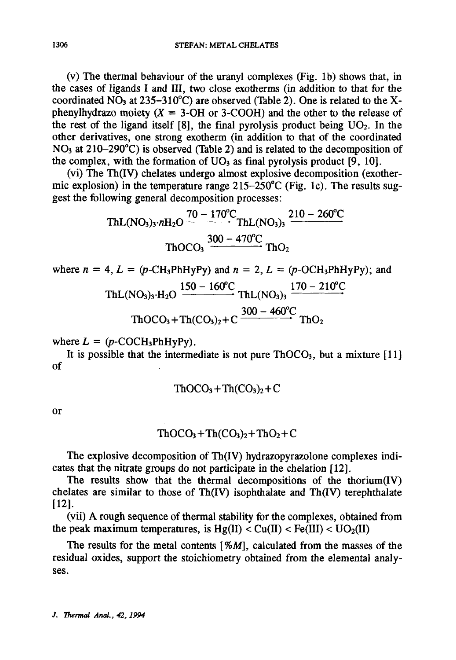(v) The thermal behaviour of the uranyl complexes (Fig. lb) shows that, in the cases of ligands I and III, two close exotherms (in addition to that for the coordinated NO<sub>3</sub> at 235-310<sup>°</sup>C) are observed (Table 2). One is related to the Xphenylhydrazo moiety  $(X = 3-OH)$  or 3-COOH) and the other to the release of the rest of the ligand itself  $[8]$ , the final pyrolysis product being  $UO<sub>2</sub>$ . In the other derivatives, one strong exotherm (in addition to that of the coordinated NO<sub>3</sub> at 210–290<sup>°</sup>C) is observed (Table 2) and is related to the decomposition of the complex, with the formation of  $UO<sub>3</sub>$  as final pyrolysis product [9, 10].

(vi) The Th(IV) chelates undergo almost explosive decomposition (exothermic explosion) in the temperature range  $215-250^{\circ}$ C (Fig. 1c). The results suggest the following general decomposition processes:

$$
ThL(NO3)3·nH2O \xrightarrow{70-170^oC} ThL(NO3)3 \xrightarrow{210-260^oC} ThC_2
$$
  
ThOCO<sub>3</sub>  $\xrightarrow{300-470^oC} ThO_2$ 

where 
$$
n = 4
$$
,  $L = (p\text{-CH}_3\text{PhHyPy})$  and  $n = 2$ ,  $L = (p\text{-OCH}_3\text{PhHyPy})$ ; and  
\n
$$
\text{ThL}(\text{NO}_3)_3 \cdot \text{H}_2\text{O} \xrightarrow{150 - 160^{\circ}\text{C}} \text{ThL}(\text{NO}_3)_3 \xrightarrow{170 - 210^{\circ}\text{C}} \text{ThO}(\text{NO}_3) + \text{Th}(\text{CO}_3)_2 + \text{C} \xrightarrow{300 - 460^{\circ}\text{C}} \text{ThO}_2
$$

where  $L = (p\text{-COCH}_3\text{PhHyPy}).$ 

It is possible that the intermediate is not pure  $ThOCO<sub>3</sub>$ , but a mixture [11] of

$$
ThOCO3+Th(CO3)2+C
$$

or

$$
ThOCO3+Th(CO3)2+ThO2+C
$$

The explosive decomposition of Th(IV) hydrazopyrazolone complexes indicates that the nitrate groups do not participate in the chelation [12].

The results show that the thermal decompositions of the thorium(IV) chelates are similar to those of Th(IV) isophthalate and Th(IV) terephthalate [121.

(vii) A rough sequence of thermal stability for the complexes, obtained from the peak maximum temperatures, is  $Hg(II) < Cu(II) < Fe(III) < UO<sub>2</sub>(II)$ 

The results for the metal contents  $[ % M],$  calculated from the masses of the residual oxides, support the stoichiometry obtained from the elemental analyses.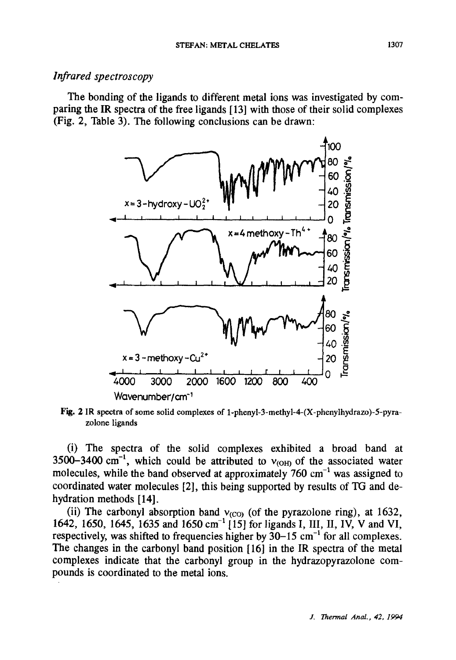#### *Infrared spectroscopy*

The bonding of the ligands to different metal ions was investigated by comparing the IR spectra of the free ligands [ 13] with those of their solid complexes (Fig. 2, Table 3). The following conclusions can be drawn:



Fig. 2 IR spectra of some solid complexes of 1-phenyl-3-methyl-4-(X-phenylhydrazo)-5-pyrazolone ligands

(i) The spectra of the solid complexes exhibited a broad band at 3500-3400 cm<sup>-1</sup>, which could be attributed to  $v_{\text{OM}}$  of the associated water molecules, while the band observed at approximately  $760 \text{ cm}^{-1}$  was assigned to coordinated water molecules [2], this being supported by results of TG and dehydration methods [14].

(ii) The carbonyl absorption band  $v_{(CO)}$  (of the pyrazolone ring), at 1632, 1642, 1650, 1645, 1635 and 1650 cm<sup>-1</sup> [15] for ligands I, III, II, IV, V and VI, respectively, was shifted to frequencies higher by  $30-15$  cm<sup>-1</sup> for all complexes. The changes in the carbonyl band position [16] in the IR spectra of the metal complexes indicate that the carbonyl group in the hydrazopyrazolone compounds is coordinated to the metal ions.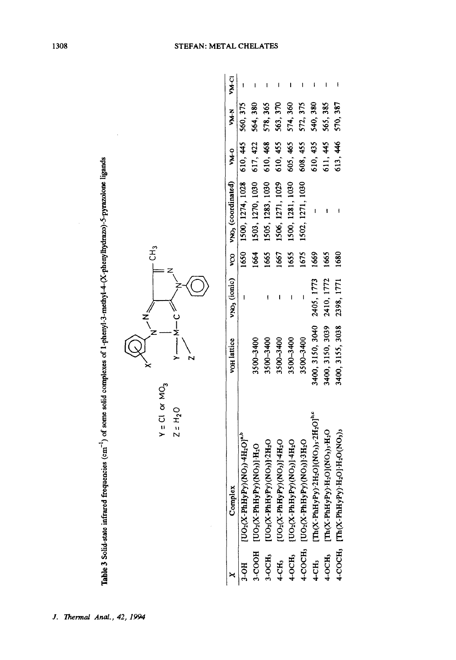|        | Complex                                                                                                                                                                                                                                                   | vo <sub>H</sub> lattice |            |      | vNO3 (ionic) vCO vNO3 (coordinated) vM-0 |                   | WHN      | <b>VM-CI</b> |
|--------|-----------------------------------------------------------------------------------------------------------------------------------------------------------------------------------------------------------------------------------------------------------|-------------------------|------------|------|------------------------------------------|-------------------|----------|--------------|
| $HO-6$ | $[{\rm UO}_2({\rm X\text{-}PhHyPy})({\rm NO}_3)\text{-}4{\rm H}_2{\rm O}]^{\rm a,b}$                                                                                                                                                                      |                         |            |      | 1650 1500, 1274, 1028 610, 445 560, 375  |                   |          |              |
|        | GOOH [UO2(X-PhHyPy)(NO3)1-H2O                                                                                                                                                                                                                             | 3500-3400               |            | 1664 | 1503, 1270, 1030                         | 617, 422 564, 380 |          |              |
|        |                                                                                                                                                                                                                                                           | 3500-3400               |            | 1665 | 1505, 1283, 1030                         | 610, 468          | 578, 365 |              |
|        |                                                                                                                                                                                                                                                           | 3500-3400               |            | 1667 | 1506, 1271, 1029                         | 610, 455          | 563, 370 |              |
|        | 3-OCH3 [UO <sub>2</sub> CX-PhHyPy)(NO3)]-2H2O<br>4-CH3 [UO <sub>2</sub> CX-PhHyPy)(NO3)]-4H2O<br>4-OCH3 [UO <sub>2</sub> CX-PhHyPy)(NO3)]-4H2O<br>4-COCH3 [UO <sub>2</sub> CX-PhHyPy)(NO3)]-3H2O                                                          | 3500-3400               |            | 1655 | 1500, 1281, 1030                         | 605, 465          | 574, 360 |              |
|        |                                                                                                                                                                                                                                                           | 3500-3400               |            | 1675 | 1502, 1271, 1030                         | 608, 455          | 572, 375 |              |
|        |                                                                                                                                                                                                                                                           | 3400, 3150, 3040        | 2405, 1773 | 1669 |                                          | 610, 435          | 540, 380 |              |
|        | 4-CH;  [Th(X-PhHyPy)·2H <sub>2</sub> O](NO <sub>3)</sub> ; 2H <sub>2</sub> O] <sup>te</sup><br>4-OCH;  [Th(X-PhHyPy)·H <sub>2</sub> O](NO <sub>3)</sub> ; H <sub>2</sub> O<br>4-COCH; [Th(X-PhHyPy)·H <sub>2</sub> O]·H <sub>2</sub> O(NO <sub>3</sub> ); | 3400, 3150, 3039        | 2410, 1772 | 1665 |                                          | 611, 445          | 565, 385 |              |
|        |                                                                                                                                                                                                                                                           | 3400, 3155, 3038        | 2398, 1771 | 1680 |                                          | 613, 446          | 570, 387 |              |



 $\mathfrak{L}$ 

 $\epsilon$ Σ

╵  $\sim$ 

 $Y = CI$  or  $MO_3$  $Z = H<sub>2</sub>O$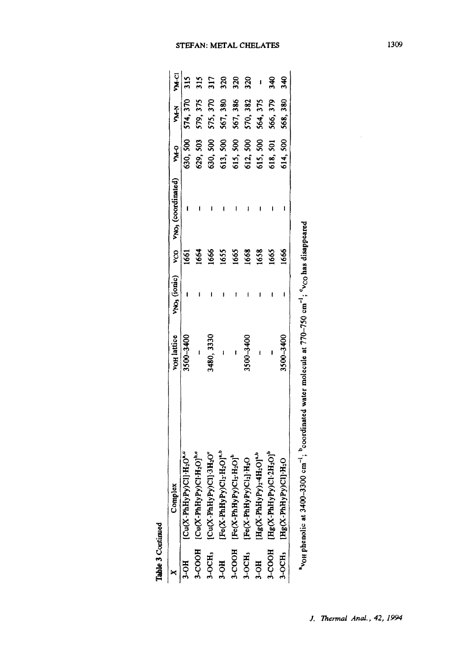| Table 3 Continued |                                                                                                                                                                                                                                                                                    |                    |      |                                     |            |                   |        |
|-------------------|------------------------------------------------------------------------------------------------------------------------------------------------------------------------------------------------------------------------------------------------------------------------------------|--------------------|------|-------------------------------------|------------|-------------------|--------|
|                   | Complex                                                                                                                                                                                                                                                                            | <b>VOH</b> lattice |      | VNO3 (ionic) vCO VNO3 (coordinated) | <b>DAK</b> | N<br>Ka           | ק<br>≸ |
| 3-OH              | $[Cu(X-PhHyPy)Cl]·H2O4,0$                                                                                                                                                                                                                                                          | 3500-3400          | 1661 |                                     |            | 630, 500 574, 370 | 315    |
|                   | 3-COOH [Co(X-PhHyPyCl+H2) <sup>26</sup><br>3-OCH, [Cu(X-PhHyPyCl) <sup>-13</sup> Cy <sup>6</sup><br>3-OH [Fe(X-PhHyPyCl2-H2Ol <sup>145</sup><br>3-COOH [Fe(X-PhHyPyCl2-H2Ol <sup>145</sup><br>3-OCH, [Fe(X-PhHyPy)Cl2-H2Ol <sup>26</sup><br>3-OH [Hg(X-PhHyPy)2-H2Ol <sup>26</sup> |                    | 1664 |                                     | 629, 503   | 579, 375          | 315    |
|                   |                                                                                                                                                                                                                                                                                    | 3480, 3330         | 1666 |                                     | 630, 500   | 575, 370          | 317    |
|                   |                                                                                                                                                                                                                                                                                    |                    | 1655 |                                     | 613,500    | 567, 380          | 320    |
|                   |                                                                                                                                                                                                                                                                                    |                    | 1665 |                                     | 615,500    | 567, 386          | 320    |
|                   |                                                                                                                                                                                                                                                                                    | 3500-3400          | 1668 |                                     | 612, 500   | 570, 382          | 320    |
|                   |                                                                                                                                                                                                                                                                                    |                    | 1658 |                                     | 615,500    | 564, 375          |        |
|                   | 3-COOH [Hg(X-PhHyPy)Cl-2H <sub>2</sub> O] <sup>b</sup>                                                                                                                                                                                                                             |                    | 1665 |                                     | 618, 501   | 566, 379          | 340    |
|                   | 3-OCH <sub>3</sub> [Hg(X-PhHyPy)Cl]-H <sub>2</sub> O                                                                                                                                                                                                                               | 3500-3400          | 1666 |                                     |            | 614, 500 568, 380 | 340    |
|                   | "von phenolic at 3400-3300 cm <sup>-1</sup> ; coordinated water molecule at 770-750 cm <sup>-1</sup> ; "voo has disappeared"                                                                                                                                                       |                    |      |                                     |            |                   |        |

| t<br>c                    |
|---------------------------|
|                           |
|                           |
| יתה הנה                   |
|                           |
|                           |
|                           |
|                           |
| i<br>$\ddot{\phantom{a}}$ |
| i<br>Casar                |
|                           |

#### STEFAN: METAL CHELATES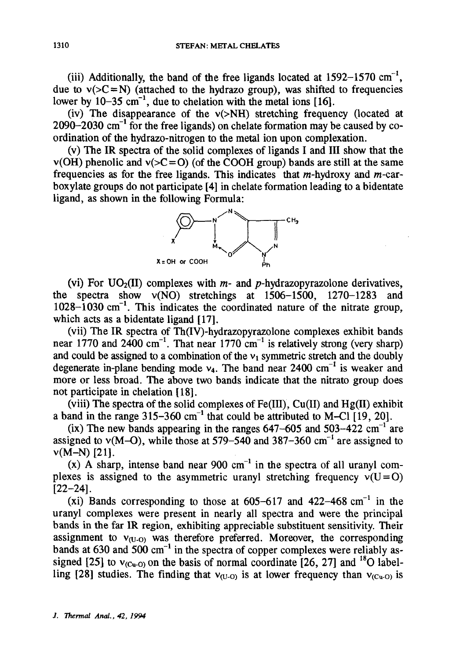(iii) Additionally, the band of the free ligands located at  $1592-1570$  cm<sup>-1</sup>, due to  $v(>=N)$  (attached to the hydrazo group), was shifted to frequencies lower by  $10-35$  cm<sup>-1</sup>, due to chelation with the metal ions [16].

(iv) The disappearance of the  $v(>NH)$  stretching frequency (located at  $2090-2030$  cm<sup>-1</sup> for the free ligands) on chelate formation may be caused by coordination of the hydrazo-nitrogen to the metal ion upon complexation.

(v) The IR spectra of the solid complexes of ligands I and III show that the  $v(OH)$  phenolic and  $v(>=0)$  (of the COOH group) bands are still at the same frequencies as for the free ligands. This indicates that  $m$ -hydroxy and  $m$ -carboxylate groups do not participate [4] in chelate formation leading to a bidentate ligand, as shown in the following Formula:



(vi) For  $UO_2(II)$  complexes with  $m$ - and  $p$ -hydrazopyrazolone derivatives, the spectra show v(NO) stretchings at 1506-1500, 1270-1283 and  $1028-1030$  cm<sup>-1</sup>. This indicates the coordinated nature of the nitrate group, which acts as a bidentate ligand [17].

(vii) The IR spectra of Th(IV)-hydrazopyrazolone complexes exhibit bands near 1770 and 2400 cm<sup>-1</sup>. That near 1770 cm<sup>-1</sup> is relatively strong (very sharp) and could be assigned to a combination of the  $v_1$  symmetric stretch and the doubly degenerate in-plane bending mode  $v_4$ . The band near 2400 cm<sup>-1</sup> is weaker and more or less broad. The above two bands indicate that the nitrato group does not participate in chelation [18].

(viii) The spectra of the solid complexes of Fe(III), Cu(II) and Hg(II) exhibit a band in the range  $315-360$  cm<sup>-1</sup> that could be attributed to M-CI  $\overline{119}$ , 20].

(ix) The new bands appearing in the ranges  $647-605$  and  $503-422$  cm<sup>-1</sup> are assigned to  $v(M–O)$ , while those at 579–540 and 387–360 cm<sup>-1</sup> are assigned to  $v(M-N)$  [21].

(x) A sharp, intense band near 900 cm<sup>-1</sup> in the spectra of all uranyl complexes is assigned to the asymmetric uranyl stretching frequency  $v(U=0)$ [22-24].

(xi) Bands corresponding to those at  $605-617$  and  $422-468$  cm<sup>-1</sup> in the uranyl complexes were present in nearly all spectra and were the principal bands in the far IR region, exhibiting appreciable substituent sensitivity. Their assignment to  $v_{(U-0)}$  was therefore preferred. Moreover, the corresponding bands at  $630$  and  $500 \text{ cm}^{-1}$  in the spectra of copper complexes were reliably assigned [25] to  $v_{\text{(Cu-O)}}$  on the basis of normal coordinate [26, 27] and <sup>18</sup>O labelling [28] studies. The finding that  $v_{(1)}$  is at lower frequency than  $v_{(C_0)}$  is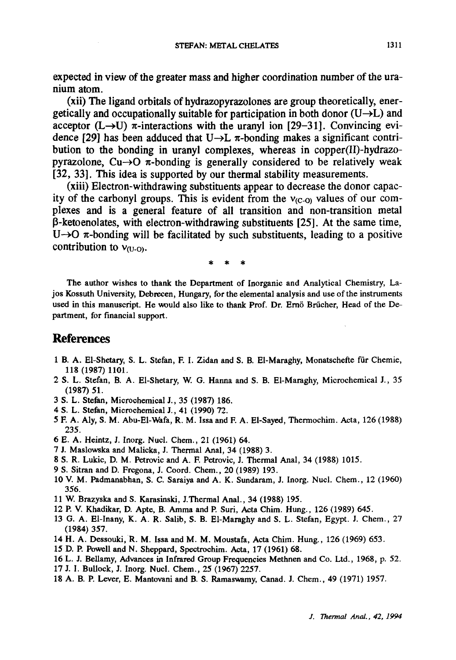**expected in view of the greater mass and higher coordination number of the uranium atom.** 

**(xii) The ligand orbitals of hydrazopyrazolones are group theoretically, ener**getically and occupationally suitable for participation in both donor  $(U\rightarrow L)$  and  $\vec{r}$  acceptor (L $\rightarrow$ U)  $\vec{r}$ -interactions with the uranyl ion [29-31]. Convincing evidence [29] has been adduced that  $U \rightarrow L \pi$ -bonding makes a significant contri**bution to the bonding in uranyl complexes, whereas in copper(II)-hydrazopyrazolone, Cu-** $\rightarrow$ **O**  $\pi$ -bonding is generally considered to be relatively weak **[32, 33]. This idea is supported by our thermal stability measurements.** 

**(xiii) Electron-withdrawing substituents appear to decrease the donor capacity of the carbonyl groups. This is evident from the V(c-o) values of our complexes and is a general feature of all transition and non-transition metal 13-ketoenolates, with electron-withdrawing substituents [25]. At the same time,**   $U\rightarrow O$   $\pi$ -bonding will be facilitated by such substituents, leading to a positive contribution to  $v_{0,0}$ .

The author wishes to thank the Department of Inorganic and Analytical Chemistry, Lajos Kossuth University, Dcbrecen, Hungary, for the elemental analysis and use of the instruments used in this manuscript. He would also like to thank Prof. Dr. Ernö Brücher, Head of the Department, for financial support.

### **References**

- 1 B. A. EI-Shetary, S. L. Stefan, E I. Zidan and S. B. EI-Maraghy, Monatsehefte ffir Chemie, 118 (1987) 1101.
- 2 S. L. Stefan, B. A. El-Shetary, W. G. Hanna and S. B. El-Maraghy, Microchemical J., 35 (1987) 51.
- 3 S. L. Stefan, Mieroehemieal J., 35 (1987) 186.
- 4 S. L. Stefan, Mieroehemieal J., 41 (1990) 72.
- 5 E A. Aly, S. M. Abu-El-Wafa, R. M. Issa and F. A. EI-Sayed, Thermoehim. Aeta, 126 (1988) 235.
- 6 E. A. Heintz, J. Inorg. Nuel. Chem., 21 (1961) 64.
- 7 J. Maslowska and Malieka, J. Thermal Anal, 34 (1988) 3.
- 8 S. R. Lukie, D. M. Petrovie and A. F. Petrovie, J. Thermal Anal, 34 (1988) 1015.
- 9 S. Sitran and D. Fregona, J. Coord. Chem., 20 (1989) 193.
- 10 V. M. Padmanabhan, S. C. Saraiya and A. K. Sundaram, J. Inorg. Nuel. Chem., 12 (1960) 356.
- 11 W. Brazyska and S. Karasinski, J.Thermal Anal., 34 (1988) 195.
- 12 P. V. Khadikar, D. Apte, B. Aroma and P. Suri, Acta Chim. Hung., 126 (1989) 645.
- 13 G. A. El-lnany, K. A. R. Salib, S. B. EI-Maraghy and S. L. Stefan, Egypt. J. Chem., 27 (1984) 357.
- 14 H. A. Dessouki, R. M. Issa and M. M. Moustafa, Aeta Chim. Hung., 126 (1969) 653.
- 15 D. P. Powell and N. Sheppard, Speetroehim. Aeta, 17 (1961) 68.
- 16 L. J. Bellamy, Advances in Infrared Group Frequencies Methnen and Co. Ltd., 1968, p. 52.
- 17 J. 1. Bullock, J. Inorg. Nuel. Chem., 25 (1967) 2257.
- 18 A. B. P. Lever, E. Mantovani and B. S. Ramaswamy, Canad. J. Chem., 49 (1971) 1957.